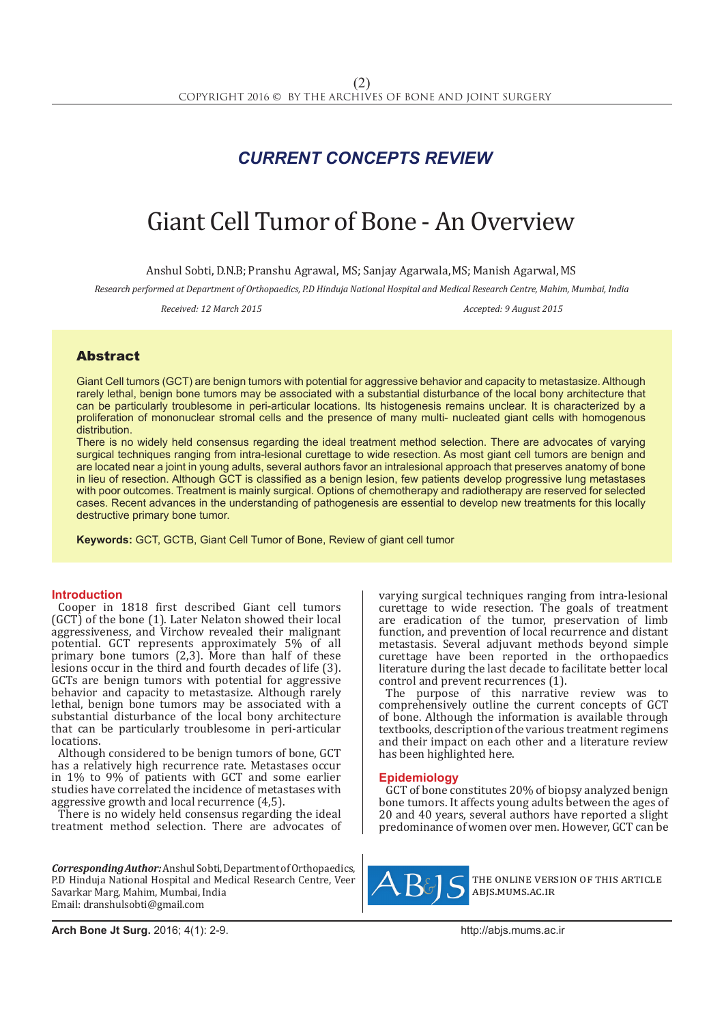# *CURRENT CONCEPTS REVIEW*

# Giant Cell Tumor of Bone - An Overview

Anshul Sobti, D.N.B; Pranshu Agrawal, MS; Sanjay Agarwala, MS; Manish Agarwal, MS

*Research performed at Department of Orthopaedics, P.D Hinduja National Hospital and Medical Research Centre, Mahim, Mumbai, India*

Received: 12 March 2015 **Accepted: 9 August 2015** Accepted: 9 August 2015

# Abstract

Giant Cell tumors (GCT) are benign tumors with potential for aggressive behavior and capacity to metastasize. Although rarely lethal, benign bone tumors may be associated with a substantial disturbance of the local bony architecture that can be particularly troublesome in peri-articular locations. Its histogenesis remains unclear. It is characterized by a proliferation of mononuclear stromal cells and the presence of many multi- nucleated giant cells with homogenous distribution.

There is no widely held consensus regarding the ideal treatment method selection. There are advocates of varying surgical techniques ranging from intra-lesional curettage to wide resection. As most giant cell tumors are benign and are located near a joint in young adults, several authors favor an intralesional approach that preserves anatomy of bone in lieu of resection. Although GCT is classified as a benign lesion, few patients develop progressive lung metastases with poor outcomes. Treatment is mainly surgical. Options of chemotherapy and radiotherapy are reserved for selected cases. Recent advances in the understanding of pathogenesis are essential to develop new treatments for this locally destructive primary bone tumor.

**Keywords:** GCT, GCTB, Giant Cell Tumor of Bone, Review of giant cell tumor

# **Introduction**

Cooper in 1818 first described Giant cell tumors (GCT) of the bone (1). Later Nelaton showed their local aggressiveness, and Virchow revealed their malignant potential. GCT represents approximately 5% of all primary bone tumors (2,3). More than half of these lesions occur in the third and fourth decades of life (3). GCTs are benign tumors with potential for aggressive behavior and capacity to metastasize. Although rarely lethal, benign bone tumors may be associated with a substantial disturbance of the local bony architecture that can be particularly troublesome in peri-articular locations.

Although considered to be benign tumors of bone, GCT has a relatively high recurrence rate. Metastases occur in 1% to 9% of patients with GCT and some earlier studies have correlated the incidence of metastases with aggressive growth and local recurrence (4,5).

There is no widely held consensus regarding the ideal treatment method selection. There are advocates of

*Corresponding Author:* Anshul Sobti, Department of Orthopaedics, P.D Hinduja National Hospital and Medical Research Centre, Veer Savarkar Marg, Mahim, Mumbai, India Email: dranshulsobti@gmail.com

varying surgical techniques ranging from intra-lesional curettage to wide resection. The goals of treatment are eradication of the tumor, preservation of limb function, and prevention of local recurrence and distant metastasis. Several adjuvant methods beyond simple curettage have been reported in the orthopaedics literature during the last decade to facilitate better local control and prevent recurrences (1).

The purpose of this narrative review was to comprehensively outline the current concepts of GCT of bone. Although the information is available through textbooks, description of the various treatment regimens and their impact on each other and a literature review has been highlighted here.

# **Epidemiology**

GCT of bone constitutes 20% of biopsy analyzed benign bone tumors. It affects young adults between the ages of 20 and 40 years, several authors have reported a slight predominance of women over men. However, GCT can be



the online version of this article abjs.mums.ac.ir

**Arch Bone Jt Surg.** 2016; 4(1): 2-9.http://abjs.mums.ac.ir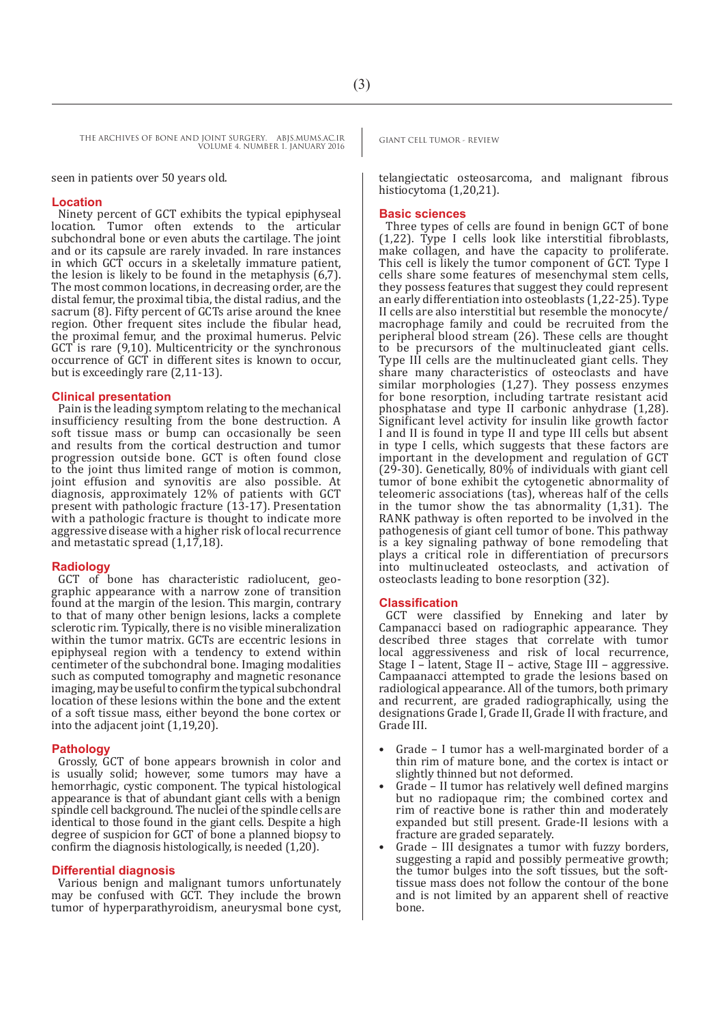seen in patients over 50 years old.

#### **Location**

Ninety percent of GCT exhibits the typical epiphyseal location. Tumor often extends to the articular subchondral bone or even abuts the cartilage. The joint and or its capsule are rarely invaded. In rare instances in which GCT occurs in a skeletally immature patient, the lesion is likely to be found in the metaphysis (6,7). The most common locations, in decreasing order, are the distal femur, the proximal tibia, the distal radius, and the sacrum (8). Fifty percent of GCTs arise around the knee region. Other frequent sites include the fibular head, the proximal femur, and the proximal humerus. Pelvic GCT is rare (9,10). Multicentricity or the synchronous occurrence of GCT in different sites is known to occur, but is exceedingly rare (2,11-13).

# **Clinical presentation**

Pain is the leading symptom relating to the mechanical insufficiency resulting from the bone destruction. A soft tissue mass or bump can occasionally be seen and results from the cortical destruction and tumor progression outside bone. GCT is often found close to the joint thus limited range of motion is common, joint effusion and synovitis are also possible. At diagnosis, approximately 12% of patients with GCT present with pathologic fracture (13-17). Presentation with a pathologic fracture is thought to indicate more aggressive disease with a higher risk of local recurrence and metastatic spread (1,17,18).

# **Radiology**

GCT of bone has characteristic radiolucent, geographic appearance with a narrow zone of transition found at the margin of the lesion. This margin, contrary to that of many other benign lesions, lacks a complete sclerotic rim. Typically, there is no visible mineralization within the tumor matrix. GCTs are eccentric lesions in epiphyseal region with a tendency to extend within centimeter of the subchondral bone. Imaging modalities such as computed tomography and magnetic resonance imaging, may be useful to confirm the typical subchondral location of these lesions within the bone and the extent of a soft tissue mass, either beyond the bone cortex or into the adjacent joint (1,19,20).

#### **Pathology**

Grossly, GCT of bone appears brownish in color and is usually solid; however, some tumors may have a hemorrhagic, cystic component. The typical histological appearance is that of abundant giant cells with a benign spindle cell background. The nuclei of the spindle cells are identical to those found in the giant cells. Despite a high degree of suspicion for GCT of bone a planned biopsy to confirm the diagnosis histologically, is needed (1,20).

### **Differential diagnosis**

Various benign and malignant tumors unfortunately may be confused with GCT. They include the brown tumor of hyperparathyroidism, aneurysmal bone cyst,

telangiectatic osteosarcoma, and malignant fibrous histiocytoma (1,20,21).

#### **Basic sciences**

Three types of cells are found in benign GCT of bone (1,22). Type I cells look like interstitial fibroblasts, make collagen, and have the capacity to proliferate. This cell is likely the tumor component of GCT. Type I cells share some features of mesenchymal stem cells, they possess features that suggest they could represent an early differentiation into osteoblasts (1,22-25). Type II cells are also interstitial but resemble the monocyte/ macrophage family and could be recruited from the peripheral blood stream (26). These cells are thought to be precursors of the multinucleated giant cells. Type III cells are the multinucleated giant cells. They share many characteristics of osteoclasts and have similar morphologies (1,27). They possess enzymes for bone resorption, including tartrate resistant acid phosphatase and type II carbonic anhydrase (1,28). Significant level activity for insulin like growth factor I and II is found in type II and type III cells but absent in type I cells, which suggests that these factors are important in the development and regulation of GCT (29-30). Genetically, 80% of individuals with giant cell tumor of bone exhibit the cytogenetic abnormality of teleomeric associations (tas), whereas half of the cells in the tumor show the tas abnormality (1,31). The RANK pathway is often reported to be involved in the pathogenesis of giant cell tumor of bone. This pathway is a key signaling pathway of bone remodeling that plays a critical role in differentiation of precursors into multinucleated osteoclasts, and activation of osteoclasts leading to bone resorption (32).

#### **Classification**

GCT were classified by Enneking and later by Campanacci based on radiographic appearance. They described three stages that correlate with tumor local aggressiveness and risk of local recurrence, Stage I – latent, Stage II – active, Stage III – aggressive. Campaanacci attempted to grade the lesions based on radiological appearance. All of the tumors, both primary and recurrent, are graded radiographically, using the designations Grade I, Grade II, Grade II with fracture, and Grade III.

- Grade I tumor has a well-marginated border of a thin rim of mature bone, and the cortex is intact or slightly thinned but not deformed.
- Grade II tumor has relatively well defined margins but no radiopaque rim; the combined cortex and rim of reactive bone is rather thin and moderately expanded but still present. Grade-II lesions with a fracture are graded separately.
- Grade III designates a tumor with fuzzy borders, suggesting a rapid and possibly permeative growth; the tumor bulges into the soft tissues, but the softtissue mass does not follow the contour of the bone and is not limited by an apparent shell of reactive bone.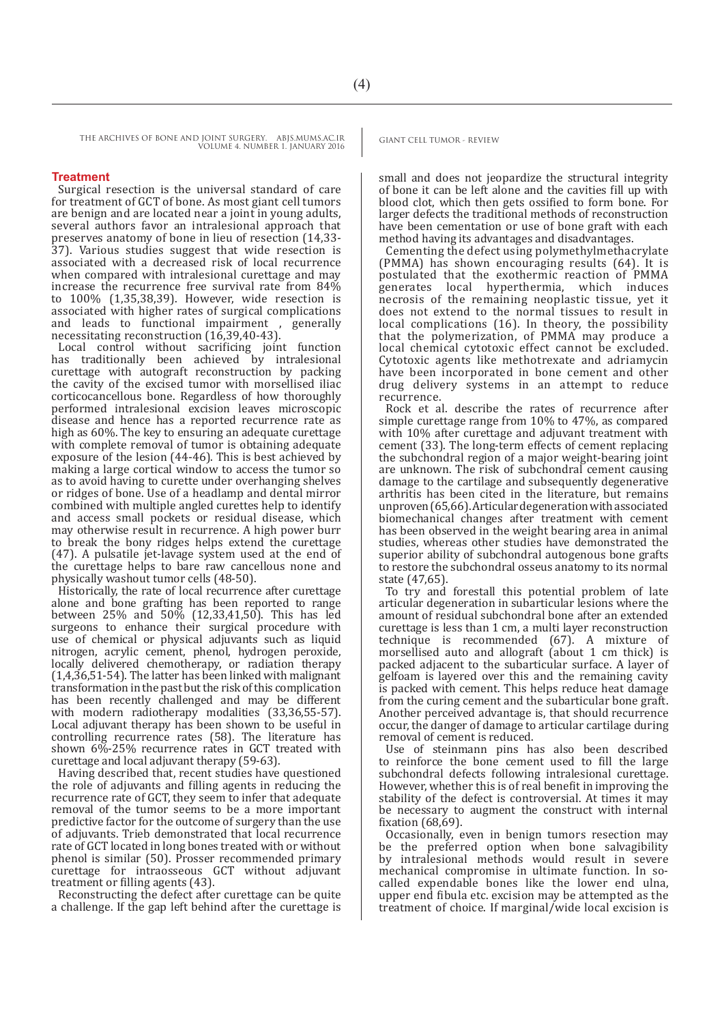# **Treatment**

Surgical resection is the universal standard of care for treatment of GCT of bone. As most giant cell tumors are benign and are located near a joint in young adults, several authors favor an intralesional approach that preserves anatomy of bone in lieu of resection (14,33- 37). Various studies suggest that wide resection is associated with a decreased risk of local recurrence when compared with intralesional curettage and may increase the recurrence free survival rate from 84% to 100% (1,35,38,39). However, wide resection is associated with higher rates of surgical complications and leads to functional impairment , generally necessitating reconstruction (16,39,40-43).

Local control without sacrificing joint function has traditionally been achieved by intralesional curettage with autograft reconstruction by packing the cavity of the excised tumor with morsellised iliac corticocancellous bone. Regardless of how thoroughly performed intralesional excision leaves microscopic disease and hence has a reported recurrence rate as high as 60%. The key to ensuring an adequate curettage with complete removal of tumor is obtaining adequate exposure of the lesion (44-46). This is best achieved by making a large cortical window to access the tumor so as to avoid having to curette under overhanging shelves or ridges of bone. Use of a headlamp and dental mirror combined with multiple angled curettes help to identify and access small pockets or residual disease, which may otherwise result in recurrence. A high power burr to break the bony ridges helps extend the curettage (47). A pulsatile jet-lavage system used at the end of the curettage helps to bare raw cancellous none and physically washout tumor cells (48-50).

Historically, the rate of local recurrence after curettage alone and bone grafting has been reported to range between 25% and 50% (12,33,41,50). This has led surgeons to enhance their surgical procedure with use of chemical or physical adjuvants such as liquid nitrogen, acrylic cement, phenol, hydrogen peroxide, locally delivered chemotherapy, or radiation therapy (1,4,36,51-54). The latter has been linked with malignant transformation in the past but the risk of this complication has been recently challenged and may be different with modern radiotherapy modalities (33,36,55-57). Local adjuvant therapy has been shown to be useful in controlling recurrence rates (58). The literature has shown 6%-25% recurrence rates in GCT treated with curettage and local adjuvant therapy (59-63).

Having described that, recent studies have questioned the role of adjuvants and filling agents in reducing the recurrence rate of GCT, they seem to infer that adequate removal of the tumor seems to be a more important predictive factor for the outcome of surgery than the use of adjuvants. Trieb demonstrated that local recurrence rate of GCT located in long bones treated with or without phenol is similar (50). Prosser recommended primary curettage for intraosseous GCT without adjuvant treatment or filling agents (43).

Reconstructing the defect after curettage can be quite a challenge. If the gap left behind after the curettage is

small and does not jeopardize the structural integrity of bone it can be left alone and the cavities fill up with blood clot, which then gets ossified to form bone. For larger defects the traditional methods of reconstruction have been cementation or use of bone graft with each method having its advantages and disadvantages.

Cementing the defect using polymethylmethacrylate (PMMA) has shown encouraging results (64). It is postulated that the exothermic reaction of PMMA generates local hyperthermia, which induces necrosis of the remaining neoplastic tissue, yet it does not extend to the normal tissues to result in local complications (16). In theory, the possibility that the polymerization, of PMMA may produce a local chemical cytotoxic effect cannot be excluded. Cytotoxic agents like methotrexate and adriamycin have been incorporated in bone cement and other drug delivery systems in an attempt to reduce recurrence.

Rock et al. describe the rates of recurrence after simple curettage range from 10% to 47%, as compared with 10% after curettage and adjuvant treatment with cement (33). The long-term effects of cement replacing the subchondral region of a major weight-bearing joint are unknown. The risk of subchondral cement causing damage to the cartilage and subsequently degenerative arthritis has been cited in the literature, but remains unproven (65,66). Articular degeneration with associated biomechanical changes after treatment with cement has been observed in the weight bearing area in animal studies, whereas other studies have demonstrated the superior ability of subchondral autogenous bone grafts to restore the subchondral osseus anatomy to its normal state (47,65).

To try and forestall this potential problem of late articular degeneration in subarticular lesions where the amount of residual subchondral bone after an extended curettage is less than 1 cm, a multi layer reconstruction technique is recommended (67). A mixture of morsellised auto and allograft (about 1 cm thick) is packed adjacent to the subarticular surface. A layer of gelfoam is layered over this and the remaining cavity is packed with cement. This helps reduce heat damage from the curing cement and the subarticular bone graft. Another perceived advantage is, that should recurrence occur, the danger of damage to articular cartilage during removal of cement is reduced.

Use of steinmann pins has also been described to reinforce the bone cement used to fill the large subchondral defects following intralesional curettage. However, whether this is of real benefit in improving the stability of the defect is controversial. At times it may be necessary to augment the construct with internal fixation (68,69).

Occasionally, even in benign tumors resection may be the preferred option when bone salvagibility by intralesional methods would result in severe mechanical compromise in ultimate function. In socalled expendable bones like the lower end ulna, upper end fibula etc. excision may be attempted as the treatment of choice. If marginal/wide local excision is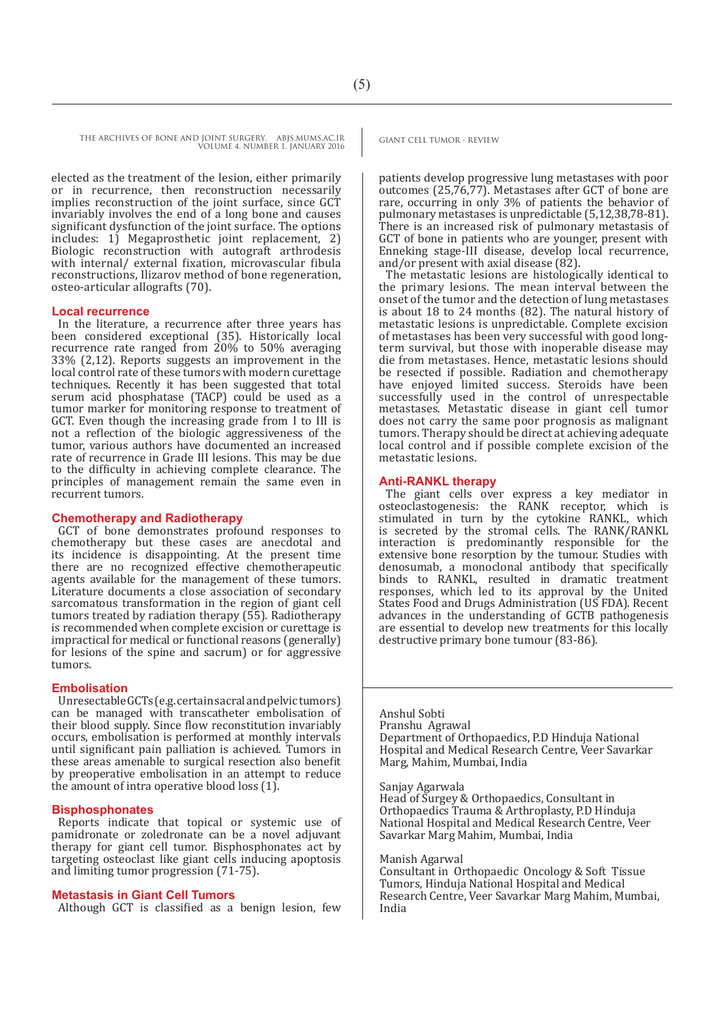elected as the treatment of the lesion, either primarily or in recurrence, then reconstruction necessarily implies reconstruction of the joint surface, since GCT invariably involves the end of a long bone and causes significant dysfunction of the joint surface. The options includes: 1) Megaprosthetic joint replacement, 2) Biologic reconstruction with autograft arthrodesis with internal/ external fixation, microvascular fibula reconstructions, Ilizarov method of bone regeneration, osteo-articular allografts (70).

# **Local recurrence**

In the literature, a recurrence after three years has been considered exceptional (35). Historically local recurrence rate ranged from 20% to 50% averaging 33% (2,12). Reports suggests an improvement in the local control rate of these tumors with modern curettage techniques. Recently it has been suggested that total serum acid phosphatase (TACP) could be used as a tumor marker for monitoring response to treatment of GCT. Even though the increasing grade from I to III is not a reflection of the biologic aggressiveness of the tumor, various authors have documented an increased rate of recurrence in Grade III lesions. This may be due to the difficulty in achieving complete clearance. The principles of management remain the same even in recurrent tumors.

#### **Chemotherapy and Radiotherapy**

GCT of bone demonstrates profound responses to chemotherapy but these cases are anecdotal and its incidence is disappointing. At the present time there are no recognized effective chemotherapeutic agents available for the management of these tumors. Literature documents a close association of secondary sarcomatous transformation in the region of giant cell tumors treated by radiation therapy (55). Radiotherapy is recommended when complete excision or curettage is impractical for medical or functional reasons (generally) for lesions of the spine and sacrum) or for aggressive tumors.

#### **Embolisation**

Unresectable GCTs (e.g. certain sacral and pelvic tumors) can be managed with transcatheter embolisation of their blood supply. Since flow reconstitution invariably occurs, embolisation is performed at monthly intervals until significant pain palliation is achieved. Tumors in these areas amenable to surgical resection also benefit by preoperative embolisation in an attempt to reduce the amount of intra operative blood loss (1).

#### **Bisphosphonates**

Reports indicate that topical or systemic use of pamidronate or zoledronate can be a novel adjuvant therapy for giant cell tumor. Bisphosphonates act by targeting osteoclast like giant cells inducing apoptosis and limiting tumor progression (71-75).

#### **Metastasis in Giant Cell Tumors**

Although GCT is classified as a benign lesion, few

patients develop progressive lung metastases with poor outcomes (25,76,77). Metastases after GCT of bone are rare, occurring in only 3% of patients the behavior of pulmonary metastases is unpredictable (5,12,38,78-81). There is an increased risk of pulmonary metastasis of GCT of bone in patients who are younger, present with Enneking stage-III disease, develop local recurrence, and/or present with axial disease (82).

The metastatic lesions are histologically identical to the primary lesions. The mean interval between the onset of the tumor and the detection of lung metastases is about 18 to 24 months (82). The natural history of metastatic lesions is unpredictable. Complete excision of metastases has been very successful with good longterm survival, but those with inoperable disease may die from metastases. Hence, metastatic lesions should be resected if possible. Radiation and chemotherapy have enjoyed limited success. Steroids have been successfully used in the control of unrespectable metastases. Metastatic disease in giant cell tumor does not carry the same poor prognosis as malignant tumors. Therapy should be direct at achieving adequate local control and if possible complete excision of the metastatic lesions.

#### **Anti-RANKL therapy**

The giant cells over express a key mediator in osteoclastogenesis: the RANK receptor, which is stimulated in turn by the cytokine RANKL, which is secreted by the stromal cells. The RANK/RANKL interaction is predominantly responsible for the extensive bone resorption by the tumour. Studies with denosumab, a monoclonal antibody that specifically binds to RANKL, resulted in dramatic treatment responses, which led to its approval by the United States Food and Drugs Administration (US FDA). Recent advances in the understanding of GCTB pathogenesis are essential to develop new treatments for this locally destructive primary bone tumour (83-86).

Anshul Sobti Pranshu Agrawal Department of Orthopaedics, P.D Hinduja National Hospital and Medical Research Centre, Veer Savarkar Marg, Mahim, Mumbai, India

Sanjay Agarwala

Head of Surgey & Orthopaedics, Consultant in Orthopaedics Trauma & Arthroplasty, P.D Hinduja National Hospital and Medical Research Centre, Veer Savarkar Marg Mahim, Mumbai, India

#### Manish Agarwal

Consultant in Orthopaedic Oncology & Soft Tissue Tumors, Hinduja National Hospital and Medical Research Centre, Veer Savarkar Marg Mahim, Mumbai, India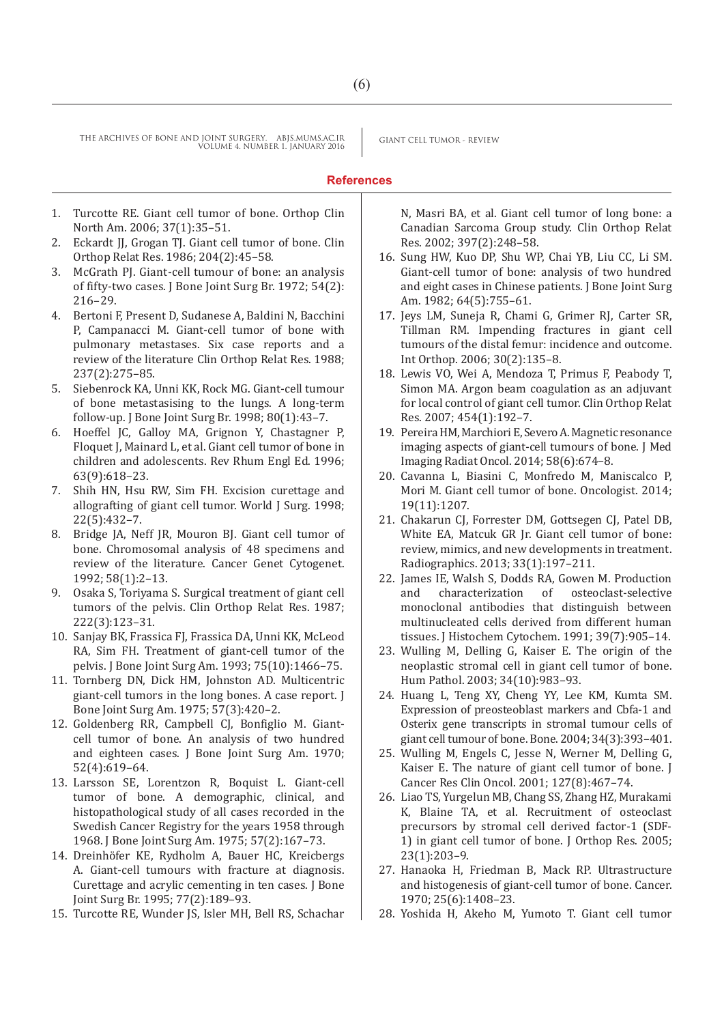# **References**

- 1. Turcotte RE. Giant cell tumor of bone. Orthop Clin North Am. 2006; 37(1):35–51.
- 2. Eckardt JJ, Grogan TJ. Giant cell tumor of bone. Clin Orthop Relat Res. 1986; 204(2):45–58.
- 3. McGrath PJ. Giant-cell tumour of bone: an analysis of fifty-two cases. J Bone Joint Surg Br. 1972; 54(2): 216–29.
- 4. Bertoni F, Present D, Sudanese A, Baldini N, Bacchini P, Campanacci M. Giant-cell tumor of bone with pulmonary metastases. Six case reports and a review of the literature Clin Orthop Relat Res. 1988; 237(2):275–85.
- 5. Siebenrock KA, Unni KK, Rock MG. Giant-cell tumour of bone metastasising to the lungs. A long-term follow-up. J Bone Joint Surg Br. 1998; 80(1):43–7.
- 6. Hoeffel JC, Galloy MA, Grignon Y, Chastagner P, Floquet J, Mainard L, et al. Giant cell tumor of bone in children and adolescents. Rev Rhum Engl Ed. 1996; 63(9):618–23.
- 7. Shih HN, Hsu RW, Sim FH. Excision curettage and allografting of giant cell tumor. World J Surg. 1998; 22(5):432–7.
- 8. Bridge JA, Neff JR, Mouron BJ. Giant cell tumor of bone. Chromosomal analysis of 48 specimens and review of the literature. Cancer Genet Cytogenet. 1992; 58(1):2–13.
- 9. Osaka S, Toriyama S. Surgical treatment of giant cell tumors of the pelvis. Clin Orthop Relat Res. 1987; 222(3):123–31.
- 10. Sanjay BK, Frassica FJ, Frassica DA, Unni KK, McLeod RA, Sim FH. Treatment of giant-cell tumor of the pelvis. J Bone Joint Surg Am. 1993; 75(10):1466–75.
- 11. Tornberg DN, Dick HM, Johnston AD. Multicentric giant-cell tumors in the long bones. A case report. J Bone Joint Surg Am. 1975; 57(3):420–2.
- 12. Goldenberg RR, Campbell CJ, Bonfiglio M. Giantcell tumor of bone. An analysis of two hundred and eighteen cases. J Bone Joint Surg Am. 1970; 52(4):619–64.
- 13. Larsson SE, Lorentzon R, Boquist L. Giant-cell tumor of bone. A demographic, clinical, and histopathological study of all cases recorded in the Swedish Cancer Registry for the years 1958 through 1968. J Bone Joint Surg Am. 1975; 57(2):167–73.
- 14. Dreinhöfer KE, Rydholm A, Bauer HC, Kreicbergs A. Giant-cell tumours with fracture at diagnosis. Curettage and acrylic cementing in ten cases. J Bone Joint Surg Br. 1995; 77(2):189–93.
- 15. Turcotte RE, Wunder JS, Isler MH, Bell RS, Schachar

N, Masri BA, et al. Giant cell tumor of long bone: a Canadian Sarcoma Group study. Clin Orthop Relat Res. 2002; 397(2):248–58.

- 16. Sung HW, Kuo DP, Shu WP, Chai YB, Liu CC, Li SM. Giant-cell tumor of bone: analysis of two hundred and eight cases in Chinese patients. J Bone Joint Surg Am. 1982; 64(5):755–61.
- 17. Jeys LM, Suneja R, Chami G, Grimer RJ, Carter SR, Tillman RM. Impending fractures in giant cell tumours of the distal femur: incidence and outcome. Int Orthop. 2006; 30(2):135–8.
- 18. Lewis VO, Wei A, Mendoza T, Primus F, Peabody T, Simon MA. Argon beam coagulation as an adjuvant for local control of giant cell tumor. Clin Orthop Relat Res. 2007; 454(1):192–7.
- 19. Pereira HM, Marchiori E, Severo A. Magnetic resonance imaging aspects of giant-cell tumours of bone. J Med Imaging Radiat Oncol. 2014; 58(6):674–8.
- 20. Cavanna L, Biasini C, Monfredo M, Maniscalco P, Mori M. Giant cell tumor of bone. Oncologist. 2014; 19(11):1207.
- 21. Chakarun CJ, Forrester DM, Gottsegen CJ, Patel DB, White EA, Matcuk GR Jr. Giant cell tumor of bone: review, mimics, and new developments in treatment. Radiographics. 2013; 33(1):197–211.
- 22. James IE, Walsh S, Dodds RA, Gowen M. Production<br>and characterization of osteoclast-selective characterization of monoclonal antibodies that distinguish between multinucleated cells derived from different human tissues. J Histochem Cytochem. 1991; 39(7):905–14.
- 23. Wulling M, Delling G, Kaiser E. The origin of the neoplastic stromal cell in giant cell tumor of bone. Hum Pathol. 2003; 34(10):983–93.
- 24. Huang L, Teng XY, Cheng YY, Lee KM, Kumta SM. Expression of preosteoblast markers and Cbfa-1 and Osterix gene transcripts in stromal tumour cells of giant cell tumour of bone. Bone. 2004; 34(3):393–401.
- 25. Wulling M, Engels C, Jesse N, Werner M, Delling G, Kaiser E. The nature of giant cell tumor of bone. J Cancer Res Clin Oncol. 2001; 127(8):467–74.
- 26. Liao TS, Yurgelun MB, Chang SS, Zhang HZ, Murakami K, Blaine TA, et al. Recruitment of osteoclast precursors by stromal cell derived factor-1 (SDF-1) in giant cell tumor of bone. J Orthop Res. 2005; 23(1):203–9.
- 27. Hanaoka H, Friedman B, Mack RP. Ultrastructure and histogenesis of giant-cell tumor of bone. Cancer. 1970; 25(6):1408–23.
- 28. Yoshida H, Akeho M, Yumoto T. Giant cell tumor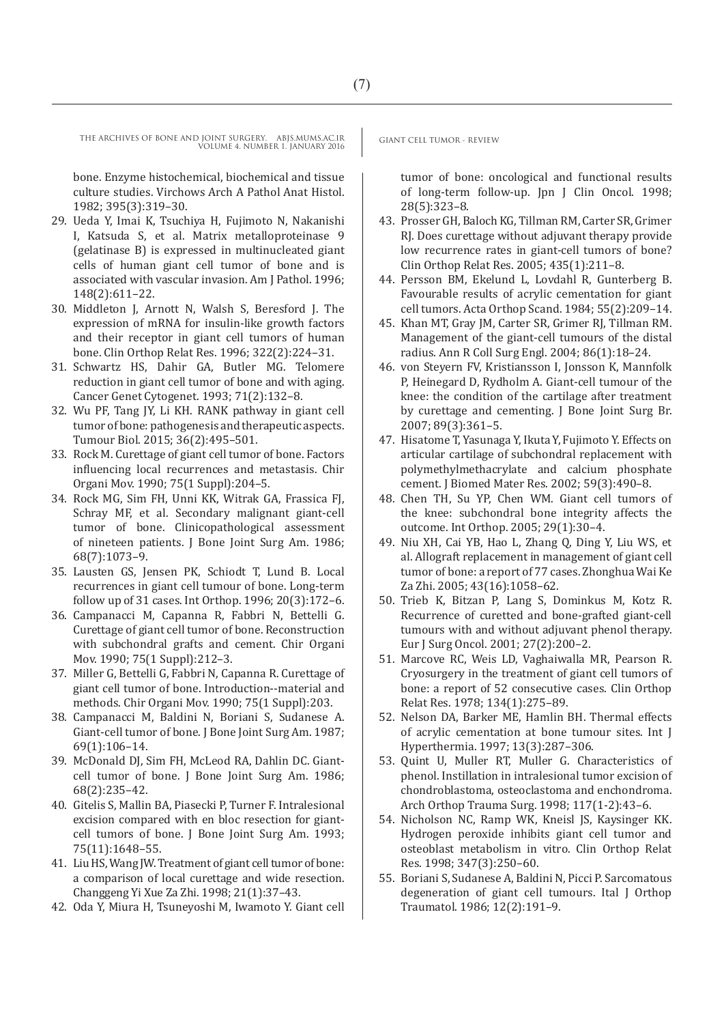bone. Enzyme histochemical, biochemical and tissue culture studies. Virchows Arch A Pathol Anat Histol. 1982; 395(3):319–30.

- 29. Ueda Y, Imai K, Tsuchiya H, Fujimoto N, Nakanishi I, Katsuda S, et al. Matrix metalloproteinase 9 (gelatinase B) is expressed in multinucleated giant cells of human giant cell tumor of bone and is associated with vascular invasion. Am J Pathol. 1996; 148(2):611–22.
- 30. Middleton J, Arnott N, Walsh S, Beresford J. The expression of mRNA for insulin-like growth factors and their receptor in giant cell tumors of human bone. Clin Orthop Relat Res. 1996; 322(2):224–31.
- 31. Schwartz HS, Dahir GA, Butler MG. Telomere reduction in giant cell tumor of bone and with aging. Cancer Genet Cytogenet. 1993; 71(2):132–8.
- 32. Wu PF, Tang JY, Li KH. RANK pathway in giant cell tumor of bone: pathogenesis and therapeutic aspects. Tumour Biol. 2015; 36(2):495–501.
- 33. Rock M. Curettage of giant cell tumor of bone. Factors influencing local recurrences and metastasis. Chir Organi Mov. 1990; 75(1 Suppl):204–5.
- 34. Rock MG, Sim FH, Unni KK, Witrak GA, Frassica FJ, Schray MF, et al. Secondary malignant giant-cell tumor of bone. Clinicopathological assessment of nineteen patients. J Bone Joint Surg Am. 1986; 68(7):1073–9.
- 35. Lausten GS, Jensen PK, Schiodt T, Lund B. Local recurrences in giant cell tumour of bone. Long-term follow up of 31 cases. Int Orthop. 1996; 20(3):172–6.
- 36. Campanacci M, Capanna R, Fabbri N, Bettelli G. Curettage of giant cell tumor of bone. Reconstruction with subchondral grafts and cement. Chir Organi Mov. 1990; 75(1 Suppl):212–3.
- 37. Miller G, Bettelli G, Fabbri N, Capanna R. Curettage of giant cell tumor of bone. Introduction--material and methods. Chir Organi Mov. 1990; 75(1 Suppl):203.
- 38. Campanacci M, Baldini N, Boriani S, Sudanese A. Giant-cell tumor of bone. J Bone Joint Surg Am. 1987; 69(1):106–14.
- 39. McDonald DJ, Sim FH, McLeod RA, Dahlin DC. Giantcell tumor of bone. J Bone Joint Surg Am. 1986; 68(2):235–42.
- 40. Gitelis S, Mallin BA, Piasecki P, Turner F. Intralesional excision compared with en bloc resection for giantcell tumors of bone. J Bone Joint Surg Am. 1993; 75(11):1648–55.
- 41. Liu HS, Wang JW. Treatment of giant cell tumor of bone: a comparison of local curettage and wide resection. Changgeng Yi Xue Za Zhi. 1998; 21(1):37–43.
- 42. Oda Y, Miura H, Tsuneyoshi M, Iwamoto Y. Giant cell

tumor of bone: oncological and functional results of long-term follow-up. Jpn J Clin Oncol. 1998; 28(5):323–8.

- 43. Prosser GH, Baloch KG, Tillman RM, Carter SR, Grimer RJ. Does curettage without adjuvant therapy provide low recurrence rates in giant-cell tumors of bone? Clin Orthop Relat Res. 2005; 435(1):211–8.
- 44. Persson BM, Ekelund L, Lovdahl R, Gunterberg B. Favourable results of acrylic cementation for giant cell tumors. Acta Orthop Scand. 1984; 55(2):209–14.
- 45. Khan MT, Gray JM, Carter SR, Grimer RJ, Tillman RM. Management of the giant-cell tumours of the distal radius. Ann R Coll Surg Engl. 2004; 86(1):18–24.
- 46. von Steyern FV, Kristiansson I, Jonsson K, Mannfolk P, Heinegard D, Rydholm A. Giant-cell tumour of the knee: the condition of the cartilage after treatment by curettage and cementing. J Bone Joint Surg Br. 2007; 89(3):361–5.
- 47. Hisatome T, Yasunaga Y, Ikuta Y, Fujimoto Y. Effects on articular cartilage of subchondral replacement with polymethylmethacrylate and calcium phosphate cement. J Biomed Mater Res. 2002; 59(3):490–8.
- 48. Chen TH, Su YP, Chen WM. Giant cell tumors of the knee: subchondral bone integrity affects the outcome. Int Orthop. 2005; 29(1):30–4.
- 49. Niu XH, Cai YB, Hao L, Zhang Q, Ding Y, Liu WS, et al. Allograft replacement in management of giant cell tumor of bone: a report of 77 cases. Zhonghua Wai Ke Za Zhi. 2005; 43(16):1058–62.
- 50. Trieb K, Bitzan P, Lang S, Dominkus M, Kotz R. Recurrence of curetted and bone-grafted giant-cell tumours with and without adjuvant phenol therapy. Eur J Surg Oncol. 2001; 27(2):200–2.
- 51. Marcove RC, Weis LD, Vaghaiwalla MR, Pearson R. Cryosurgery in the treatment of giant cell tumors of bone: a report of 52 consecutive cases. Clin Orthop Relat Res. 1978; 134(1):275–89.
- 52. Nelson DA, Barker ME, Hamlin BH. Thermal effects of acrylic cementation at bone tumour sites. Int J Hyperthermia. 1997; 13(3):287–306.
- 53. Quint U, Muller RT, Muller G. Characteristics of phenol. Instillation in intralesional tumor excision of chondroblastoma, osteoclastoma and enchondroma. Arch Orthop Trauma Surg. 1998; 117(1-2):43–6.
- 54. Nicholson NC, Ramp WK, Kneisl JS, Kaysinger KK. Hydrogen peroxide inhibits giant cell tumor and osteoblast metabolism in vitro. Clin Orthop Relat Res. 1998; 347(3):250–60.
- 55. Boriani S, Sudanese A, Baldini N, Picci P. Sarcomatous degeneration of giant cell tumours. Ital J Orthop Traumatol. 1986; 12(2):191–9.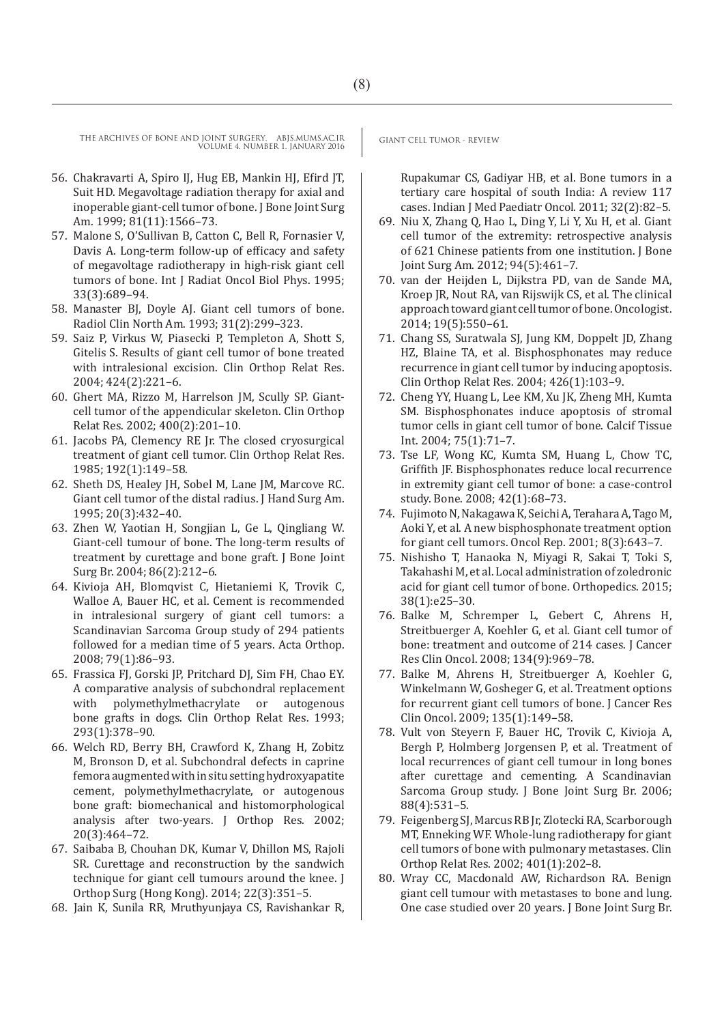- 56. Chakravarti A, Spiro IJ, Hug EB, Mankin HJ, Efird JT, Suit HD. Megavoltage radiation therapy for axial and inoperable giant-cell tumor of bone. J Bone Joint Surg Am. 1999; 81(11):1566–73.
- 57. Malone S, O'Sullivan B, Catton C, Bell R, Fornasier V, Davis A. Long-term follow-up of efficacy and safety of megavoltage radiotherapy in high-risk giant cell tumors of bone. Int J Radiat Oncol Biol Phys. 1995; 33(3):689–94.
- 58. Manaster BJ, Doyle AJ. Giant cell tumors of bone. Radiol Clin North Am. 1993; 31(2):299–323.
- 59. Saiz P, Virkus W, Piasecki P, Templeton A, Shott S, Gitelis S. Results of giant cell tumor of bone treated with intralesional excision. Clin Orthop Relat Res. 2004; 424(2):221–6.
- 60. Ghert MA, Rizzo M, Harrelson JM, Scully SP. Giantcell tumor of the appendicular skeleton. Clin Orthop Relat Res. 2002; 400(2):201–10.
- 61. Jacobs PA, Clemency RE Jr. The closed cryosurgical treatment of giant cell tumor. Clin Orthop Relat Res. 1985; 192(1):149–58.
- 62. Sheth DS, Healey JH, Sobel M, Lane JM, Marcove RC. Giant cell tumor of the distal radius. J Hand Surg Am. 1995; 20(3):432–40.
- 63. Zhen W, Yaotian H, Songjian L, Ge L, Qingliang W. Giant-cell tumour of bone. The long-term results of treatment by curettage and bone graft. J Bone Joint Surg Br. 2004; 86(2):212–6.
- 64. Kivioja AH, Blomqvist C, Hietaniemi K, Trovik C, Walloe A, Bauer HC, et al. Cement is recommended in intralesional surgery of giant cell tumors: a Scandinavian Sarcoma Group study of 294 patients followed for a median time of 5 years. Acta Orthop. 2008; 79(1):86–93.
- 65. Frassica FJ, Gorski JP, Pritchard DJ, Sim FH, Chao EY. A comparative analysis of subchondral replacement<br>with polymethylmethacrylate or autogenous polymethylmethacrylate or bone grafts in dogs. Clin Orthop Relat Res. 1993; 293(1):378–90.
- 66. Welch RD, Berry BH, Crawford K, Zhang H, Zobitz M, Bronson D, et al. Subchondral defects in caprine femora augmented with in situ setting hydroxyapatite cement, polymethylmethacrylate, or autogenous bone graft: biomechanical and histomorphological analysis after two-years. J Orthop Res. 2002; 20(3):464–72.
- 67. Saibaba B, Chouhan DK, Kumar V, Dhillon MS, Rajoli SR. Curettage and reconstruction by the sandwich technique for giant cell tumours around the knee. J Orthop Surg (Hong Kong). 2014; 22(3):351–5.
- 68. Jain K, Sunila RR, Mruthyunjaya CS, Ravishankar R,

Rupakumar CS, Gadiyar HB, et al. Bone tumors in a tertiary care hospital of south India: A review 117 cases. Indian J Med Paediatr Oncol. 2011; 32(2):82–5.

- 69. Niu X, Zhang Q, Hao L, Ding Y, Li Y, Xu H, et al. Giant cell tumor of the extremity: retrospective analysis of 621 Chinese patients from one institution. J Bone Joint Surg Am. 2012; 94(5):461–7.
- 70. van der Heijden L, Dijkstra PD, van de Sande MA, Kroep JR, Nout RA, van Rijswijk CS, et al. The clinical approach toward giant cell tumor of bone. Oncologist. 2014; 19(5):550–61.
- 71. Chang SS, Suratwala SJ, Jung KM, Doppelt JD, Zhang HZ, Blaine TA, et al. Bisphosphonates may reduce recurrence in giant cell tumor by inducing apoptosis. Clin Orthop Relat Res. 2004; 426(1):103–9.
- 72. Cheng YY, Huang L, Lee KM, Xu JK, Zheng MH, Kumta SM. Bisphosphonates induce apoptosis of stromal tumor cells in giant cell tumor of bone. Calcif Tissue Int. 2004; 75(1):71–7.
- 73. Tse LF, Wong KC, Kumta SM, Huang L, Chow TC, Griffith JF. Bisphosphonates reduce local recurrence in extremity giant cell tumor of bone: a case-control study. Bone. 2008; 42(1):68–73.
- 74. Fujimoto N, Nakagawa K, Seichi A, Terahara A, Tago M, Aoki Y, et al. A new bisphosphonate treatment option for giant cell tumors. Oncol Rep. 2001; 8(3):643–7.
- 75. Nishisho T, Hanaoka N, Miyagi R, Sakai T, Toki S, Takahashi M, et al. Local administration of zoledronic acid for giant cell tumor of bone. Orthopedics. 2015; 38(1):e25–30.
- 76. Balke M, Schremper L, Gebert C, Ahrens H, Streitbuerger A, Koehler G, et al. Giant cell tumor of bone: treatment and outcome of 214 cases. J Cancer Res Clin Oncol. 2008; 134(9):969–78.
- 77. Balke M, Ahrens H, Streitbuerger A, Koehler G, Winkelmann W, Gosheger G, et al. Treatment options for recurrent giant cell tumors of bone. J Cancer Res Clin Oncol. 2009; 135(1):149–58.
- 78. Vult von Steyern F, Bauer HC, Trovik C, Kivioja A, Bergh P, Holmberg Jorgensen P, et al. Treatment of local recurrences of giant cell tumour in long bones after curettage and cementing. A Scandinavian Sarcoma Group study. J Bone Joint Surg Br. 2006; 88(4):531–5.
- 79. Feigenberg SJ, Marcus RB Jr, Zlotecki RA, Scarborough MT, Enneking WF. Whole-lung radiotherapy for giant cell tumors of bone with pulmonary metastases. Clin Orthop Relat Res. 2002; 401(1):202–8.
- 80. Wray CC, Macdonald AW, Richardson RA. Benign giant cell tumour with metastases to bone and lung. One case studied over 20 years. J Bone Joint Surg Br.